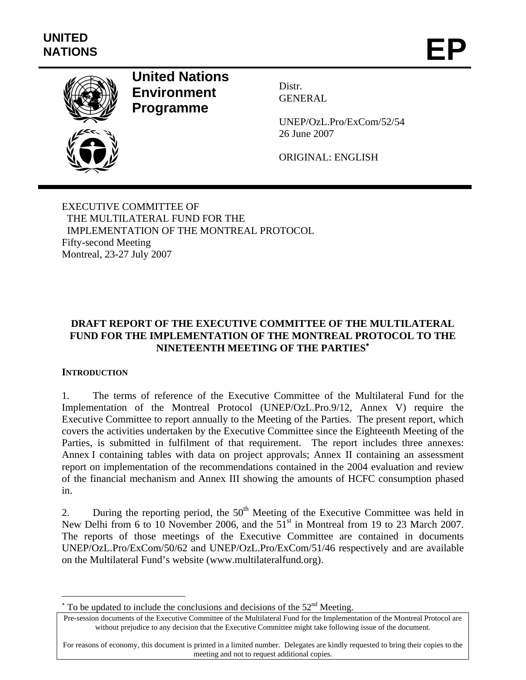

# **United Nations Environment Programme**

Distr. GENERAL

UNEP/OzL.Pro/ExCom/52/54 26 June 2007

ORIGINAL: ENGLISH

EXECUTIVE COMMITTEE OF THE MULTILATERAL FUND FOR THE IMPLEMENTATION OF THE MONTREAL PROTOCOL Fifty-second Meeting Montreal, 23-27 July 2007

# **DRAFT REPORT OF THE EXECUTIVE COMMITTEE OF THE MULTILATERAL FUND FOR THE IMPLEMENTATION OF THE MONTREAL PROTOCOL TO THE NINETEENTH MEETING OF THE PARTIES**<sup>∗</sup>

# **INTRODUCTION**

1

1. The terms of reference of the Executive Committee of the Multilateral Fund for the Implementation of the Montreal Protocol (UNEP/OzL.Pro.9/12, Annex V) require the Executive Committee to report annually to the Meeting of the Parties. The present report, which covers the activities undertaken by the Executive Committee since the Eighteenth Meeting of the Parties, is submitted in fulfilment of that requirement. The report includes three annexes: Annex I containing tables with data on project approvals; Annex II containing an assessment report on implementation of the recommendations contained in the 2004 evaluation and review of the financial mechanism and Annex III showing the amounts of HCFC consumption phased in.

2. During the reporting period, the  $50<sup>th</sup>$  Meeting of the Executive Committee was held in New Delhi from 6 to 10 November 2006, and the  $51<sup>st</sup>$  in Montreal from 19 to 23 March 2007. The reports of those meetings of the Executive Committee are contained in documents UNEP/OzL.Pro/ExCom/50/62 and UNEP/OzL.Pro/ExCom/51/46 respectively and are available on the Multilateral Fund's website (www.multilateralfund.org).

For reasons of economy, this document is printed in a limited number. Delegates are kindly requested to bring their copies to the meeting and not to request additional copies.

 $*$  To be updated to include the conclusions and decisions of the 52<sup>nd</sup> Meeting.

Pre-session documents of the Executive Committee of the Multilateral Fund for the Implementation of the Montreal Protocol are without prejudice to any decision that the Executive Committee might take following issue of the document.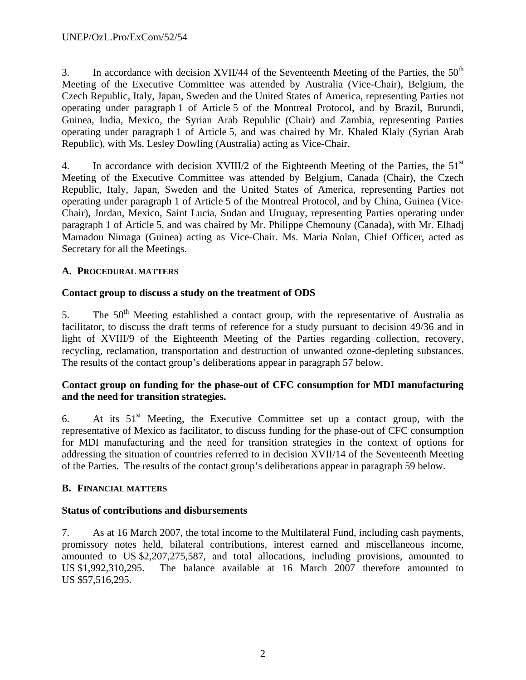3. In accordance with decision XVII/44 of the Seventeenth Meeting of the Parties, the  $50<sup>th</sup>$ Meeting of the Executive Committee was attended by Australia (Vice-Chair), Belgium, the Czech Republic, Italy, Japan, Sweden and the United States of America, representing Parties not operating under paragraph 1 of Article 5 of the Montreal Protocol, and by Brazil, Burundi, Guinea, India, Mexico, the Syrian Arab Republic (Chair) and Zambia, representing Parties operating under paragraph 1 of Article 5, and was chaired by Mr. Khaled Klaly (Syrian Arab Republic), with Ms. Lesley Dowling (Australia) acting as Vice-Chair.

4. In accordance with decision XVIII/2 of the Eighteenth Meeting of the Parties, the 51<sup>st</sup> Meeting of the Executive Committee was attended by Belgium, Canada (Chair), the Czech Republic, Italy, Japan, Sweden and the United States of America, representing Parties not operating under paragraph 1 of Article 5 of the Montreal Protocol, and by China, Guinea (Vice-Chair), Jordan, Mexico, Saint Lucia, Sudan and Uruguay, representing Parties operating under paragraph 1 of Article 5, and was chaired by Mr. Philippe Chemouny (Canada), with Mr. Elhadj Mamadou Nimaga (Guinea) acting as Vice-Chair. Ms. Maria Nolan, Chief Officer, acted as Secretary for all the Meetings.

# **A. PROCEDURAL MATTERS**

# **Contact group to discuss a study on the treatment of ODS**

5. The 50<sup>th</sup> Meeting established a contact group, with the representative of Australia as facilitator, to discuss the draft terms of reference for a study pursuant to decision 49/36 and in light of XVIII/9 of the Eighteenth Meeting of the Parties regarding collection, recovery, recycling, reclamation, transportation and destruction of unwanted ozone-depleting substances. The results of the contact group's deliberations appear in paragraph 57 below.

# **Contact group on funding for the phase-out of CFC consumption for MDI manufacturing and the need for transition strategies.**

6. At its  $51<sup>st</sup>$  Meeting, the Executive Committee set up a contact group, with the representative of Mexico as facilitator, to discuss funding for the phase-out of CFC consumption for MDI manufacturing and the need for transition strategies in the context of options for addressing the situation of countries referred to in decision XVII/14 of the Seventeenth Meeting of the Parties. The results of the contact group's deliberations appear in paragraph 59 below.

# **B. FINANCIAL MATTERS**

# **Status of contributions and disbursements**

7. As at 16 March 2007, the total income to the Multilateral Fund, including cash payments, promissory notes held, bilateral contributions, interest earned and miscellaneous income, amounted to US \$2,207,275,587, and total allocations, including provisions, amounted to US \$1,992,310,295. The balance available at 16 March 2007 therefore amounted to US \$57,516,295.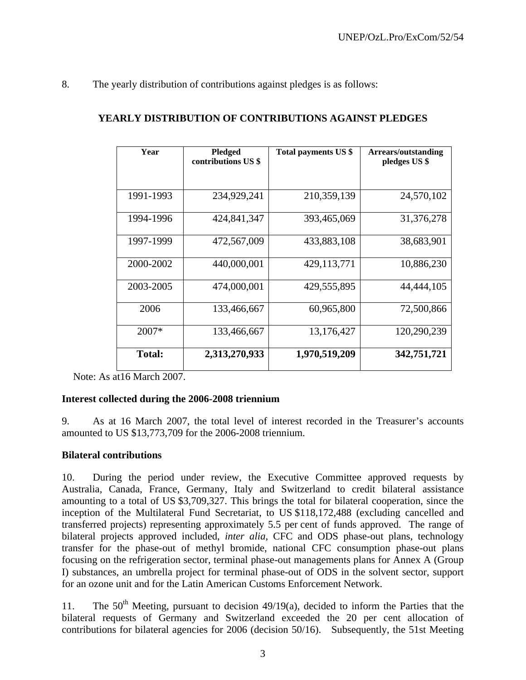8. The yearly distribution of contributions against pledges is as follows:

| Year          | <b>Pledged</b><br>contributions US \$ | Total payments US \$ | <b>Arrears/outstanding</b><br>pledges US \$ |
|---------------|---------------------------------------|----------------------|---------------------------------------------|
|               |                                       |                      |                                             |
| 1991-1993     | 234,929,241                           | 210,359,139          | 24,570,102                                  |
| 1994-1996     | 424,841,347                           | 393,465,069          | 31,376,278                                  |
| 1997-1999     | 472,567,009                           | 433,883,108          | 38,683,901                                  |
| 2000-2002     | 440,000,001                           | 429,113,771          | 10,886,230                                  |
| 2003-2005     | 474,000,001                           | 429,555,895          | 44,444,105                                  |
| 2006          | 133,466,667                           | 60,965,800           | 72,500,866                                  |
| 2007*         | 133,466,667                           | 13,176,427           | 120,290,239                                 |
| <b>Total:</b> | 2,313,270,933                         | 1,970,519,209        | 342,751,721                                 |

### **YEARLY DISTRIBUTION OF CONTRIBUTIONS AGAINST PLEDGES**

Note: As at16 March 2007.

# **Interest collected during the 2006-2008 triennium**

9. As at 16 March 2007, the total level of interest recorded in the Treasurer's accounts amounted to US \$13,773,709 for the 2006-2008 triennium.

#### **Bilateral contributions**

10. During the period under review, the Executive Committee approved requests by Australia, Canada, France, Germany, Italy and Switzerland to credit bilateral assistance amounting to a total of US \$3,709,327. This brings the total for bilateral cooperation, since the inception of the Multilateral Fund Secretariat, to US \$118,172,488 (excluding cancelled and transferred projects) representing approximately 5.5 per cent of funds approved. The range of bilateral projects approved included, *inter alia*, CFC and ODS phase-out plans, technology transfer for the phase-out of methyl bromide, national CFC consumption phase-out plans focusing on the refrigeration sector, terminal phase-out managements plans for Annex A (Group I) substances, an umbrella project for terminal phase-out of ODS in the solvent sector, support for an ozone unit and for the Latin American Customs Enforcement Network.

11. The  $50<sup>th</sup>$  Meeting, pursuant to decision 49/19(a), decided to inform the Parties that the bilateral requests of Germany and Switzerland exceeded the 20 per cent allocation of contributions for bilateral agencies for 2006 (decision 50/16). Subsequently, the 51st Meeting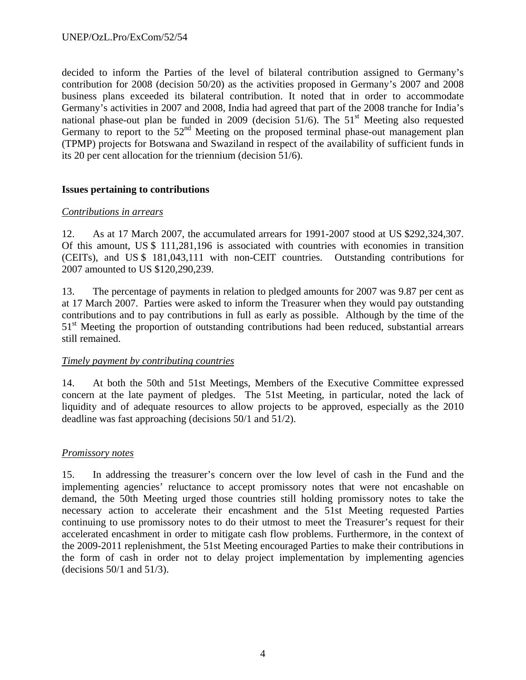decided to inform the Parties of the level of bilateral contribution assigned to Germany's contribution for 2008 (decision 50/20) as the activities proposed in Germany's 2007 and 2008 business plans exceeded its bilateral contribution. It noted that in order to accommodate Germany's activities in 2007 and 2008, India had agreed that part of the 2008 tranche for India's national phase-out plan be funded in 2009 (decision  $51/6$ ). The  $51<sup>st</sup>$  Meeting also requested Germany to report to the  $52<sup>nd</sup>$  Meeting on the proposed terminal phase-out management plan (TPMP) projects for Botswana and Swaziland in respect of the availability of sufficient funds in its 20 per cent allocation for the triennium (decision 51/6).

### **Issues pertaining to contributions**

### *Contributions in arrears*

12. As at 17 March 2007, the accumulated arrears for 1991-2007 stood at US \$292,324,307. Of this amount, US \$ 111,281,196 is associated with countries with economies in transition (CEITs), and US \$ 181,043,111 with non-CEIT countries. Outstanding contributions for 2007 amounted to US \$120,290,239.

13. The percentage of payments in relation to pledged amounts for 2007 was 9.87 per cent as at 17 March 2007. Parties were asked to inform the Treasurer when they would pay outstanding contributions and to pay contributions in full as early as possible. Although by the time of the 51<sup>st</sup> Meeting the proportion of outstanding contributions had been reduced, substantial arrears still remained.

#### *Timely payment by contributing countries*

14. At both the 50th and 51st Meetings, Members of the Executive Committee expressed concern at the late payment of pledges. The 51st Meeting, in particular, noted the lack of liquidity and of adequate resources to allow projects to be approved, especially as the 2010 deadline was fast approaching (decisions 50/1 and 51/2).

#### *Promissory notes*

15. In addressing the treasurer's concern over the low level of cash in the Fund and the implementing agencies' reluctance to accept promissory notes that were not encashable on demand, the 50th Meeting urged those countries still holding promissory notes to take the necessary action to accelerate their encashment and the 51st Meeting requested Parties continuing to use promissory notes to do their utmost to meet the Treasurer's request for their accelerated encashment in order to mitigate cash flow problems. Furthermore, in the context of the 2009-2011 replenishment, the 51st Meeting encouraged Parties to make their contributions in the form of cash in order not to delay project implementation by implementing agencies (decisions 50/1 and 51/3).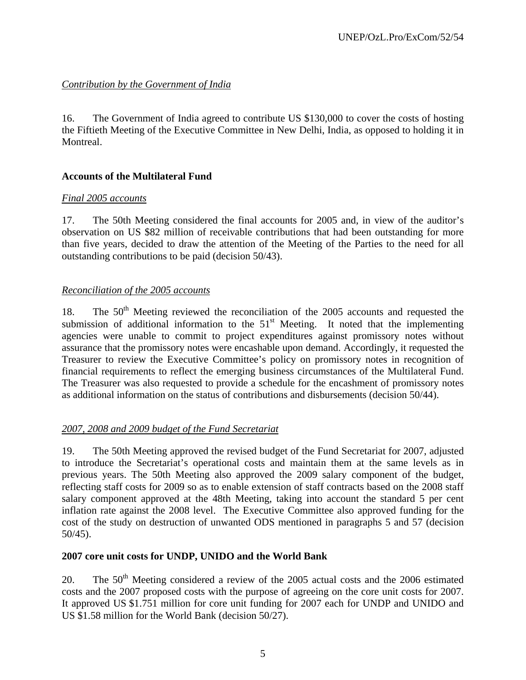# *Contribution by the Government of India*

16. The Government of India agreed to contribute US \$130,000 to cover the costs of hosting the Fiftieth Meeting of the Executive Committee in New Delhi, India, as opposed to holding it in Montreal.

# **Accounts of the Multilateral Fund**

# *Final 2005 accounts*

17. The 50th Meeting considered the final accounts for 2005 and, in view of the auditor's observation on US \$82 million of receivable contributions that had been outstanding for more than five years, decided to draw the attention of the Meeting of the Parties to the need for all outstanding contributions to be paid (decision 50/43).

# *Reconciliation of the 2005 accounts*

18. The 50<sup>th</sup> Meeting reviewed the reconciliation of the 2005 accounts and requested the submission of additional information to the  $51<sup>st</sup>$  Meeting. It noted that the implementing agencies were unable to commit to project expenditures against promissory notes without assurance that the promissory notes were encashable upon demand. Accordingly, it requested the Treasurer to review the Executive Committee's policy on promissory notes in recognition of financial requirements to reflect the emerging business circumstances of the Multilateral Fund. The Treasurer was also requested to provide a schedule for the encashment of promissory notes as additional information on the status of contributions and disbursements (decision 50/44).

# *2007, 2008 and 2009 budget of the Fund Secretariat*

19. The 50th Meeting approved the revised budget of the Fund Secretariat for 2007, adjusted to introduce the Secretariat's operational costs and maintain them at the same levels as in previous years. The 50th Meeting also approved the 2009 salary component of the budget, reflecting staff costs for 2009 so as to enable extension of staff contracts based on the 2008 staff salary component approved at the 48th Meeting, taking into account the standard 5 per cent inflation rate against the 2008 level. The Executive Committee also approved funding for the cost of the study on destruction of unwanted ODS mentioned in paragraphs 5 and 57 (decision 50/45).

# **2007 core unit costs for UNDP, UNIDO and the World Bank**

20. The 50<sup>th</sup> Meeting considered a review of the 2005 actual costs and the 2006 estimated costs and the 2007 proposed costs with the purpose of agreeing on the core unit costs for 2007. It approved US \$1.751 million for core unit funding for 2007 each for UNDP and UNIDO and US \$1.58 million for the World Bank (decision 50/27).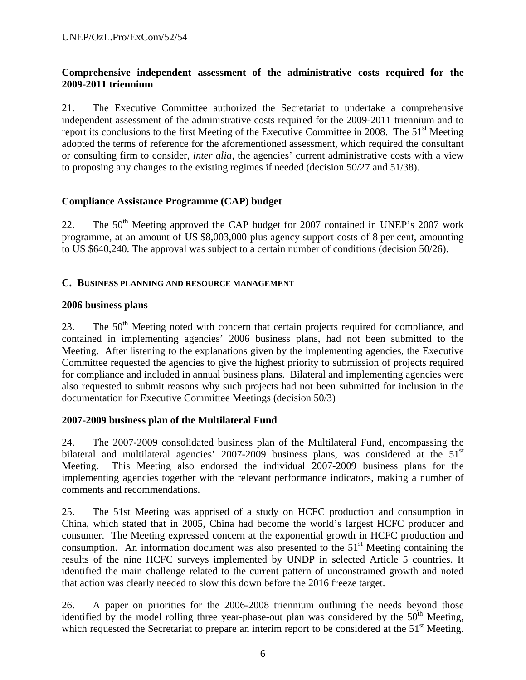### **Comprehensive independent assessment of the administrative costs required for the 2009-2011 triennium**

21. The Executive Committee authorized the Secretariat to undertake a comprehensive independent assessment of the administrative costs required for the 2009-2011 triennium and to report its conclusions to the first Meeting of the Executive Committee in 2008. The  $51<sup>st</sup>$  Meeting adopted the terms of reference for the aforementioned assessment, which required the consultant or consulting firm to consider, *inter alia,* the agencies' current administrative costs with a view to proposing any changes to the existing regimes if needed (decision 50/27 and 51/38).

### **Compliance Assistance Programme (CAP) budget**

22. The 50<sup>th</sup> Meeting approved the CAP budget for 2007 contained in UNEP's 2007 work programme, at an amount of US \$8,003,000 plus agency support costs of 8 per cent, amounting to US \$640,240. The approval was subject to a certain number of conditions (decision 50/26).

#### **C. BUSINESS PLANNING AND RESOURCE MANAGEMENT**

### **2006 business plans**

23. The 50<sup>th</sup> Meeting noted with concern that certain projects required for compliance, and contained in implementing agencies' 2006 business plans, had not been submitted to the Meeting. After listening to the explanations given by the implementing agencies, the Executive Committee requested the agencies to give the highest priority to submission of projects required for compliance and included in annual business plans. Bilateral and implementing agencies were also requested to submit reasons why such projects had not been submitted for inclusion in the documentation for Executive Committee Meetings (decision 50/3)

# **2007-2009 business plan of the Multilateral Fund**

24. The 2007-2009 consolidated business plan of the Multilateral Fund, encompassing the bilateral and multilateral agencies'  $2007-2009$  business plans, was considered at the  $51<sup>st</sup>$ Meeting. This Meeting also endorsed the individual 2007-2009 business plans for the implementing agencies together with the relevant performance indicators, making a number of comments and recommendations.

25. The 51st Meeting was apprised of a study on HCFC production and consumption in China, which stated that in 2005, China had become the world's largest HCFC producer and consumer. The Meeting expressed concern at the exponential growth in HCFC production and consumption. An information document was also presented to the  $51<sup>st</sup>$  Meeting containing the results of the nine HCFC surveys implemented by UNDP in selected Article 5 countries. It identified the main challenge related to the current pattern of unconstrained growth and noted that action was clearly needed to slow this down before the 2016 freeze target.

26. A paper on priorities for the 2006-2008 triennium outlining the needs beyond those identified by the model rolling three year-phase-out plan was considered by the  $50<sup>th</sup>$  Meeting, which requested the Secretariat to prepare an interim report to be considered at the 51<sup>st</sup> Meeting.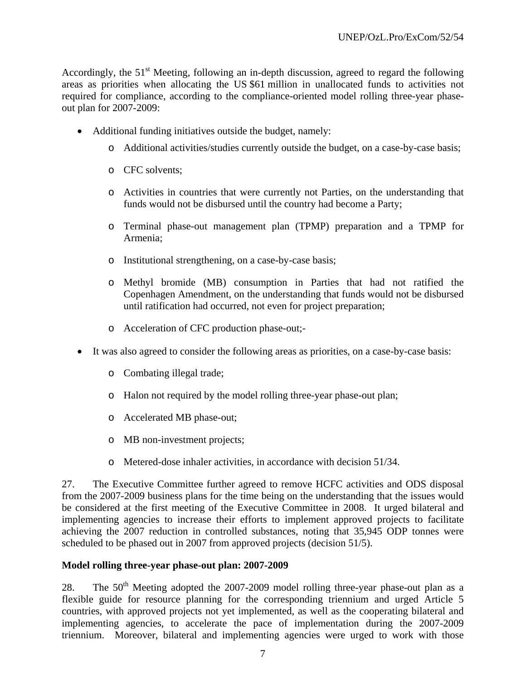Accordingly, the  $51<sup>st</sup>$  Meeting, following an in-depth discussion, agreed to regard the following areas as priorities when allocating the US \$61 million in unallocated funds to activities not required for compliance, according to the compliance-oriented model rolling three-year phaseout plan for 2007-2009:

- Additional funding initiatives outside the budget, namely:
	- o Additional activities/studies currently outside the budget, on a case-by-case basis;
	- o CFC solvents;
	- o Activities in countries that were currently not Parties, on the understanding that funds would not be disbursed until the country had become a Party;
	- o Terminal phase-out management plan (TPMP) preparation and a TPMP for Armenia;
	- o Institutional strengthening, on a case-by-case basis;
	- o Methyl bromide (MB) consumption in Parties that had not ratified the Copenhagen Amendment, on the understanding that funds would not be disbursed until ratification had occurred, not even for project preparation;
	- o Acceleration of CFC production phase-out;-
- It was also agreed to consider the following areas as priorities, on a case-by-case basis:
	- o Combating illegal trade;
	- o Halon not required by the model rolling three-year phase-out plan;
	- o Accelerated MB phase-out;
	- o MB non-investment projects;
	- o Metered-dose inhaler activities, in accordance with decision 51/34.

27. The Executive Committee further agreed to remove HCFC activities and ODS disposal from the 2007-2009 business plans for the time being on the understanding that the issues would be considered at the first meeting of the Executive Committee in 2008. It urged bilateral and implementing agencies to increase their efforts to implement approved projects to facilitate achieving the 2007 reduction in controlled substances, noting that 35,945 ODP tonnes were scheduled to be phased out in 2007 from approved projects (decision 51/5).

#### **Model rolling three-year phase-out plan: 2007-2009**

28. The  $50<sup>th</sup>$  Meeting adopted the 2007-2009 model rolling three-year phase-out plan as a flexible guide for resource planning for the corresponding triennium and urged Article 5 countries, with approved projects not yet implemented, as well as the cooperating bilateral and implementing agencies, to accelerate the pace of implementation during the 2007-2009 triennium. Moreover, bilateral and implementing agencies were urged to work with those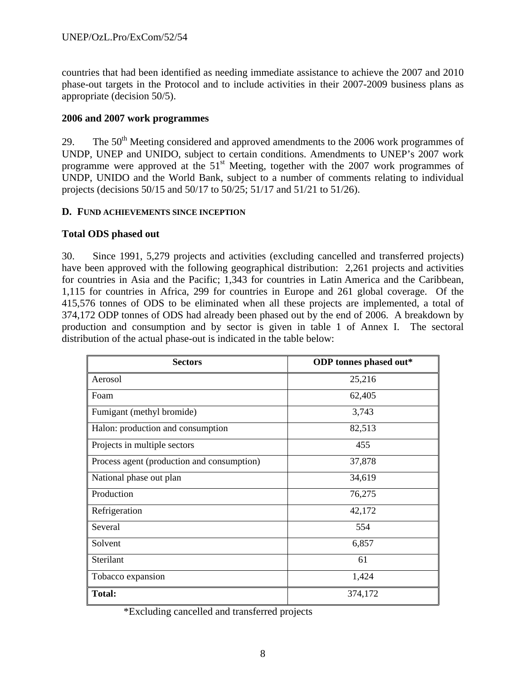countries that had been identified as needing immediate assistance to achieve the 2007 and 2010 phase-out targets in the Protocol and to include activities in their 2007-2009 business plans as appropriate (decision 50/5).

## **2006 and 2007 work programmes**

29. The  $50<sup>th</sup>$  Meeting considered and approved amendments to the 2006 work programmes of UNDP, UNEP and UNIDO, subject to certain conditions. Amendments to UNEP's 2007 work programme were approved at the 51<sup>st</sup> Meeting, together with the 2007 work programmes of UNDP, UNIDO and the World Bank, subject to a number of comments relating to individual projects (decisions 50/15 and 50/17 to 50/25; 51/17 and 51/21 to 51/26).

### **D. FUND ACHIEVEMENTS SINCE INCEPTION**

# **Total ODS phased out**

30. Since 1991, 5,279 projects and activities (excluding cancelled and transferred projects) have been approved with the following geographical distribution: 2,261 projects and activities for countries in Asia and the Pacific; 1,343 for countries in Latin America and the Caribbean, 1,115 for countries in Africa, 299 for countries in Europe and 261 global coverage. Of the 415,576 tonnes of ODS to be eliminated when all these projects are implemented, a total of 374,172 ODP tonnes of ODS had already been phased out by the end of 2006. A breakdown by production and consumption and by sector is given in table 1 of Annex I. The sectoral distribution of the actual phase-out is indicated in the table below:

| <b>Sectors</b>                             | ODP tonnes phased out* |
|--------------------------------------------|------------------------|
| Aerosol                                    | 25,216                 |
| Foam                                       | 62,405                 |
| Fumigant (methyl bromide)                  | 3,743                  |
| Halon: production and consumption          | 82,513                 |
| Projects in multiple sectors               | 455                    |
| Process agent (production and consumption) | 37,878                 |
| National phase out plan                    | 34,619                 |
| Production                                 | 76,275                 |
| Refrigeration                              | 42,172                 |
| Several                                    | 554                    |
| Solvent                                    | 6,857                  |
| Sterilant                                  | 61                     |
| Tobacco expansion                          | 1,424                  |
| <b>Total:</b>                              | 374,172                |

\*Excluding cancelled and transferred projects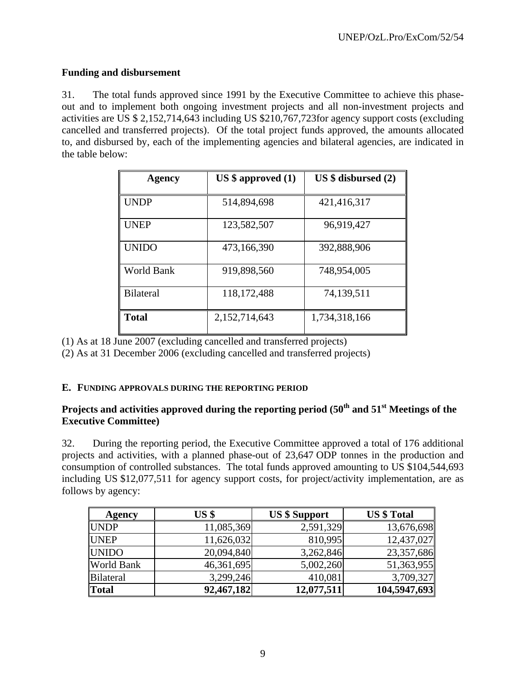# **Funding and disbursement**

31. The total funds approved since 1991 by the Executive Committee to achieve this phaseout and to implement both ongoing investment projects and all non-investment projects and activities are US \$ 2,152,714,643 including US \$210,767,723for agency support costs (excluding cancelled and transferred projects). Of the total project funds approved, the amounts allocated to, and disbursed by, each of the implementing agencies and bilateral agencies, are indicated in the table below:

| Agency           | $US$ \$ approved $(1)$ | $US $$ disbursed $(2)$ |
|------------------|------------------------|------------------------|
|                  |                        |                        |
| <b>UNDP</b>      | 514,894,698            | 421,416,317            |
| <b>UNEP</b>      | 123,582,507            | 96,919,427             |
| <b>UNIDO</b>     | 473,166,390            | 392,888,906            |
| World Bank       | 919,898,560            | 748,954,005            |
| <b>Bilateral</b> | 118, 172, 488          | 74,139,511             |
| <b>Total</b>     | 2,152,714,643          | 1,734,318,166          |

(1) As at 18 June 2007 (excluding cancelled and transferred projects)

(2) As at 31 December 2006 (excluding cancelled and transferred projects)

#### **E. FUNDING APPROVALS DURING THE REPORTING PERIOD**

# Projects and activities approved during the reporting period (50<sup>th</sup> and 51<sup>st</sup> Meetings of the **Executive Committee)**

32. During the reporting period, the Executive Committee approved a total of 176 additional projects and activities, with a planned phase-out of 23,647 ODP tonnes in the production and consumption of controlled substances. The total funds approved amounting to US \$104,544,693 including US \$12,077,511 for agency support costs, for project/activity implementation, are as follows by agency:

| <b>Agency</b>    | US <sub>3</sub> | <b>US \$ Support</b> | <b>US</b> \$ Total |
|------------------|-----------------|----------------------|--------------------|
| <b>UNDP</b>      | 11,085,369      | 2,591,329            | 13,676,698         |
| <b>UNEP</b>      | 11,626,032      | 810,995              | 12,437,027         |
| <b>UNIDO</b>     | 20,094,840      | 3,262,846            | 23,357,686         |
| World Bank       | 46,361,695      | 5,002,260            | 51,363,955         |
| <b>Bilateral</b> | 3,299,246       | 410,081              | 3,709,327          |
| <b>Total</b>     | 92,467,182      | 12,077,511           | 104,5947,693       |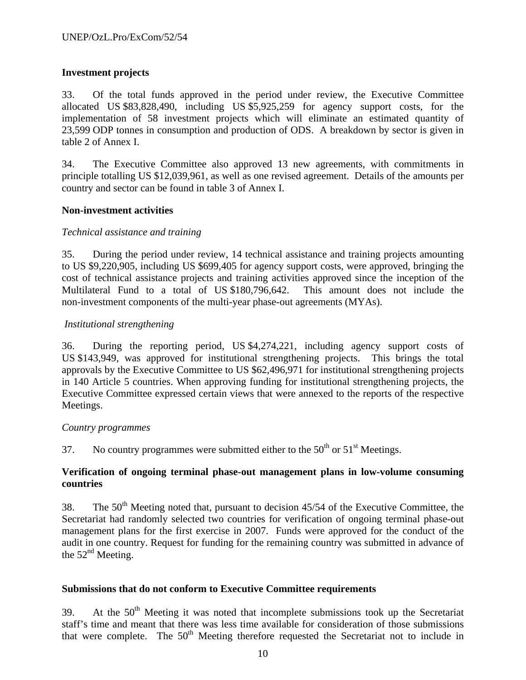# **Investment projects**

33. Of the total funds approved in the period under review, the Executive Committee allocated US \$83,828,490, including US \$5,925,259 for agency support costs, for the implementation of 58 investment projects which will eliminate an estimated quantity of 23,599 ODP tonnes in consumption and production of ODS. A breakdown by sector is given in table 2 of Annex I.

34. The Executive Committee also approved 13 new agreements, with commitments in principle totalling US \$12,039,961, as well as one revised agreement. Details of the amounts per country and sector can be found in table 3 of Annex I.

#### **Non-investment activities**

#### *Technical assistance and training*

35. During the period under review, 14 technical assistance and training projects amounting to US \$9,220,905, including US \$699,405 for agency support costs, were approved, bringing the cost of technical assistance projects and training activities approved since the inception of the Multilateral Fund to a total of US \$180,796,642. This amount does not include the non-investment components of the multi-year phase-out agreements (MYAs).

#### *Institutional strengthening*

36. During the reporting period, US \$4,274,221, including agency support costs of US \$143,949, was approved for institutional strengthening projects. This brings the total approvals by the Executive Committee to US \$62,496,971 for institutional strengthening projects in 140 Article 5 countries. When approving funding for institutional strengthening projects, the Executive Committee expressed certain views that were annexed to the reports of the respective Meetings.

#### *Country programmes*

37. No country programmes were submitted either to the  $50<sup>th</sup>$  or  $51<sup>st</sup>$  Meetings.

### **Verification of ongoing terminal phase-out management plans in low-volume consuming countries**

38. The  $50<sup>th</sup>$  Meeting noted that, pursuant to decision 45/54 of the Executive Committee, the Secretariat had randomly selected two countries for verification of ongoing terminal phase-out management plans for the first exercise in 2007. Funds were approved for the conduct of the audit in one country. Request for funding for the remaining country was submitted in advance of the  $52<sup>nd</sup>$  Meeting.

#### **Submissions that do not conform to Executive Committee requirements**

39. At the  $50<sup>th</sup>$  Meeting it was noted that incomplete submissions took up the Secretariat staff's time and meant that there was less time available for consideration of those submissions that were complete. The  $50<sup>th</sup>$  Meeting therefore requested the Secretariat not to include in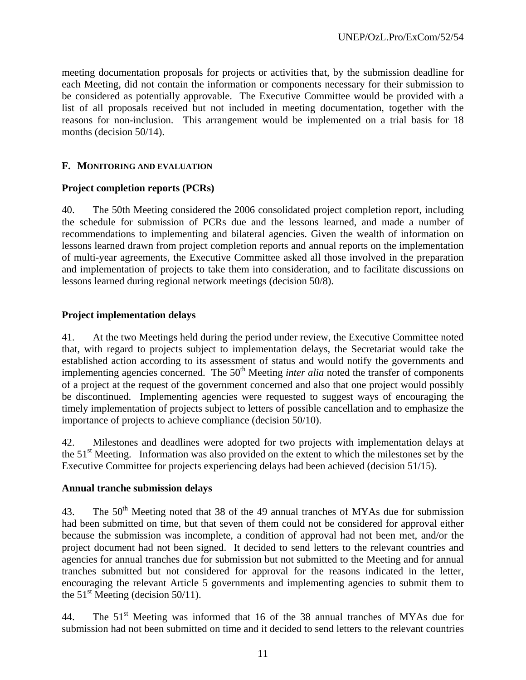meeting documentation proposals for projects or activities that, by the submission deadline for each Meeting, did not contain the information or components necessary for their submission to be considered as potentially approvable. The Executive Committee would be provided with a list of all proposals received but not included in meeting documentation, together with the reasons for non-inclusion. This arrangement would be implemented on a trial basis for 18 months (decision 50/14).

### **F. MONITORING AND EVALUATION**

#### **Project completion reports (PCRs)**

40. The 50th Meeting considered the 2006 consolidated project completion report, including the schedule for submission of PCRs due and the lessons learned, and made a number of recommendations to implementing and bilateral agencies. Given the wealth of information on lessons learned drawn from project completion reports and annual reports on the implementation of multi-year agreements, the Executive Committee asked all those involved in the preparation and implementation of projects to take them into consideration, and to facilitate discussions on lessons learned during regional network meetings (decision 50/8).

### **Project implementation delays**

41. At the two Meetings held during the period under review, the Executive Committee noted that, with regard to projects subject to implementation delays, the Secretariat would take the established action according to its assessment of status and would notify the governments and implementing agencies concerned. The 50<sup>th</sup> Meeting *inter alia* noted the transfer of components of a project at the request of the government concerned and also that one project would possibly be discontinued. Implementing agencies were requested to suggest ways of encouraging the timely implementation of projects subject to letters of possible cancellation and to emphasize the importance of projects to achieve compliance (decision 50/10).

42. Milestones and deadlines were adopted for two projects with implementation delays at the 51<sup>st</sup> Meeting. Information was also provided on the extent to which the milestones set by the Executive Committee for projects experiencing delays had been achieved (decision 51/15).

#### **Annual tranche submission delays**

43. The 50<sup>th</sup> Meeting noted that 38 of the 49 annual tranches of MYAs due for submission had been submitted on time, but that seven of them could not be considered for approval either because the submission was incomplete, a condition of approval had not been met, and/or the project document had not been signed. It decided to send letters to the relevant countries and agencies for annual tranches due for submission but not submitted to the Meeting and for annual tranches submitted but not considered for approval for the reasons indicated in the letter, encouraging the relevant Article 5 governments and implementing agencies to submit them to the  $51<sup>st</sup>$  Meeting (decision 50/11).

44. The 51<sup>st</sup> Meeting was informed that 16 of the 38 annual tranches of MYAs due for submission had not been submitted on time and it decided to send letters to the relevant countries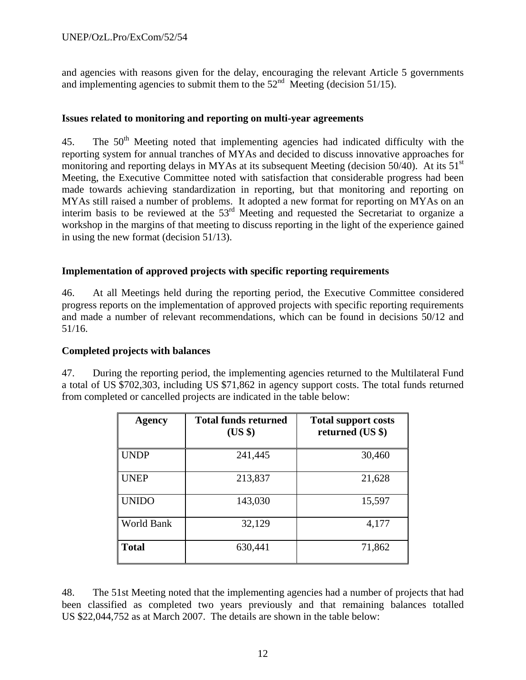## UNEP/OzL.Pro/ExCom/52/54

and agencies with reasons given for the delay, encouraging the relevant Article 5 governments and implementing agencies to submit them to the  $52<sup>nd</sup>$  Meeting (decision 51/15).

#### **Issues related to monitoring and reporting on multi-year agreements**

45. The 50<sup>th</sup> Meeting noted that implementing agencies had indicated difficulty with the reporting system for annual tranches of MYAs and decided to discuss innovative approaches for monitoring and reporting delays in MYAs at its subsequent Meeting (decision 50/40). At its 51<sup>st</sup> Meeting, the Executive Committee noted with satisfaction that considerable progress had been made towards achieving standardization in reporting, but that monitoring and reporting on MYAs still raised a number of problems. It adopted a new format for reporting on MYAs on an interim basis to be reviewed at the 53rd Meeting and requested the Secretariat to organize a workshop in the margins of that meeting to discuss reporting in the light of the experience gained in using the new format (decision 51/13).

### **Implementation of approved projects with specific reporting requirements**

46. At all Meetings held during the reporting period, the Executive Committee considered progress reports on the implementation of approved projects with specific reporting requirements and made a number of relevant recommendations, which can be found in decisions 50/12 and 51/16.

#### **Completed projects with balances**

47. During the reporting period, the implementing agencies returned to the Multilateral Fund a total of US \$702,303, including US \$71,862 in agency support costs. The total funds returned from completed or cancelled projects are indicated in the table below:

| Agency            | <b>Total funds returned</b><br>$(US \$ | <b>Total support costs</b><br>returned (US \$) |
|-------------------|----------------------------------------|------------------------------------------------|
| <b>UNDP</b>       | 241,445                                | 30,460                                         |
| <b>UNEP</b>       | 213,837                                | 21,628                                         |
| <b>UNIDO</b>      | 143,030                                | 15,597                                         |
| <b>World Bank</b> | 32,129                                 | 4,177                                          |
| <b>Total</b>      | 630,441                                | 71,862                                         |

48. The 51st Meeting noted that the implementing agencies had a number of projects that had been classified as completed two years previously and that remaining balances totalled US \$22,044,752 as at March 2007. The details are shown in the table below: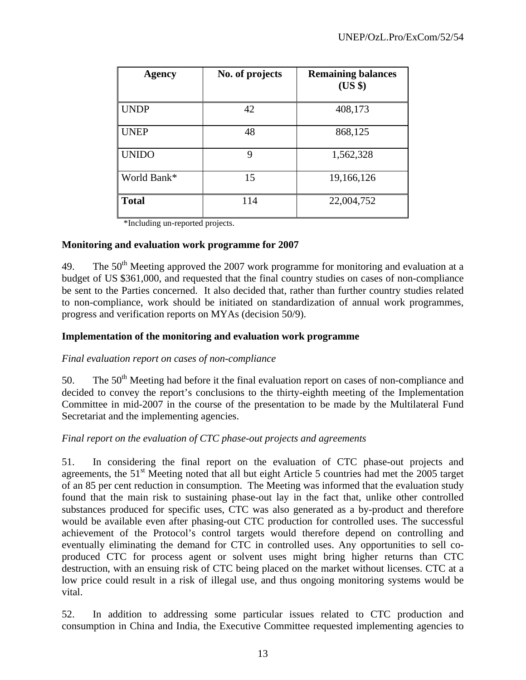| Agency       | No. of projects | <b>Remaining balances</b><br>$(US \$ |
|--------------|-----------------|--------------------------------------|
| <b>UNDP</b>  | 42              | 408,173                              |
| <b>UNEP</b>  | 48              | 868,125                              |
| <b>UNIDO</b> | 9               | 1,562,328                            |
| World Bank*  | 15              | 19,166,126                           |
| <b>Total</b> | 114             | 22,004,752                           |

\*Including un-reported projects.

#### **Monitoring and evaluation work programme for 2007**

49. The  $50<sup>th</sup>$  Meeting approved the 2007 work programme for monitoring and evaluation at a budget of US \$361,000, and requested that the final country studies on cases of non-compliance be sent to the Parties concerned. It also decided that, rather than further country studies related to non-compliance, work should be initiated on standardization of annual work programmes, progress and verification reports on MYAs (decision 50/9).

#### **Implementation of the monitoring and evaluation work programme**

#### *Final evaluation report on cases of non-compliance*

50. The  $50<sup>th</sup>$  Meeting had before it the final evaluation report on cases of non-compliance and decided to convey the report's conclusions to the thirty-eighth meeting of the Implementation Committee in mid-2007 in the course of the presentation to be made by the Multilateral Fund Secretariat and the implementing agencies.

#### *Final report on the evaluation of CTC phase-out projects and agreements*

51. In considering the final report on the evaluation of CTC phase-out projects and agreements, the 51<sup>st</sup> Meeting noted that all but eight Article 5 countries had met the 2005 target of an 85 per cent reduction in consumption. The Meeting was informed that the evaluation study found that the main risk to sustaining phase-out lay in the fact that, unlike other controlled substances produced for specific uses, CTC was also generated as a by-product and therefore would be available even after phasing-out CTC production for controlled uses. The successful achievement of the Protocol's control targets would therefore depend on controlling and eventually eliminating the demand for CTC in controlled uses. Any opportunities to sell coproduced CTC for process agent or solvent uses might bring higher returns than CTC destruction, with an ensuing risk of CTC being placed on the market without licenses. CTC at a low price could result in a risk of illegal use, and thus ongoing monitoring systems would be vital.

52. In addition to addressing some particular issues related to CTC production and consumption in China and India, the Executive Committee requested implementing agencies to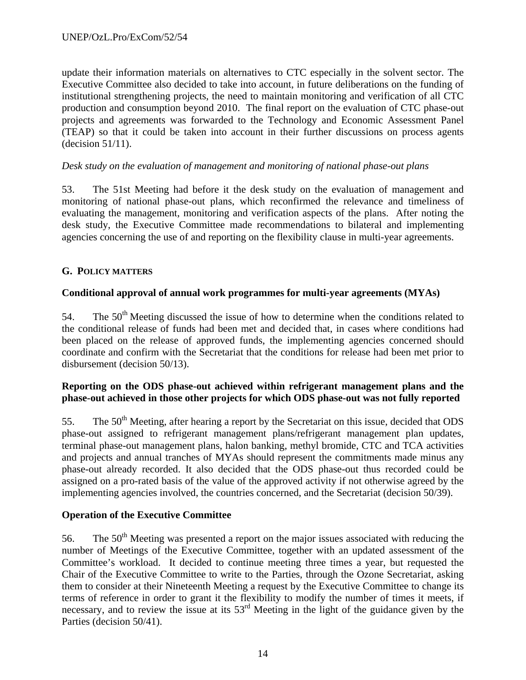update their information materials on alternatives to CTC especially in the solvent sector. The Executive Committee also decided to take into account, in future deliberations on the funding of institutional strengthening projects, the need to maintain monitoring and verification of all CTC production and consumption beyond 2010. The final report on the evaluation of CTC phase-out projects and agreements was forwarded to the Technology and Economic Assessment Panel (TEAP) so that it could be taken into account in their further discussions on process agents (decision 51/11).

## *Desk study on the evaluation of management and monitoring of national phase-out plans*

53. The 51st Meeting had before it the desk study on the evaluation of management and monitoring of national phase-out plans, which reconfirmed the relevance and timeliness of evaluating the management, monitoring and verification aspects of the plans. After noting the desk study, the Executive Committee made recommendations to bilateral and implementing agencies concerning the use of and reporting on the flexibility clause in multi-year agreements.

### **G. POLICY MATTERS**

# **Conditional approval of annual work programmes for multi-year agreements (MYAs)**

54. The  $50<sup>th</sup>$  Meeting discussed the issue of how to determine when the conditions related to the conditional release of funds had been met and decided that, in cases where conditions had been placed on the release of approved funds, the implementing agencies concerned should coordinate and confirm with the Secretariat that the conditions for release had been met prior to disbursement (decision 50/13).

# **Reporting on the ODS phase-out achieved within refrigerant management plans and the phase-out achieved in those other projects for which ODS phase-out was not fully reported**

55. The 50<sup>th</sup> Meeting, after hearing a report by the Secretariat on this issue, decided that ODS phase-out assigned to refrigerant management plans/refrigerant management plan updates, terminal phase-out management plans, halon banking, methyl bromide, CTC and TCA activities and projects and annual tranches of MYAs should represent the commitments made minus any phase-out already recorded. It also decided that the ODS phase-out thus recorded could be assigned on a pro-rated basis of the value of the approved activity if not otherwise agreed by the implementing agencies involved, the countries concerned, and the Secretariat (decision 50/39).

# **Operation of the Executive Committee**

56. The  $50<sup>th</sup>$  Meeting was presented a report on the major issues associated with reducing the number of Meetings of the Executive Committee, together with an updated assessment of the Committee's workload. It decided to continue meeting three times a year, but requested the Chair of the Executive Committee to write to the Parties, through the Ozone Secretariat, asking them to consider at their Nineteenth Meeting a request by the Executive Committee to change its terms of reference in order to grant it the flexibility to modify the number of times it meets, if necessary, and to review the issue at its 53<sup>rd</sup> Meeting in the light of the guidance given by the Parties (decision 50/41).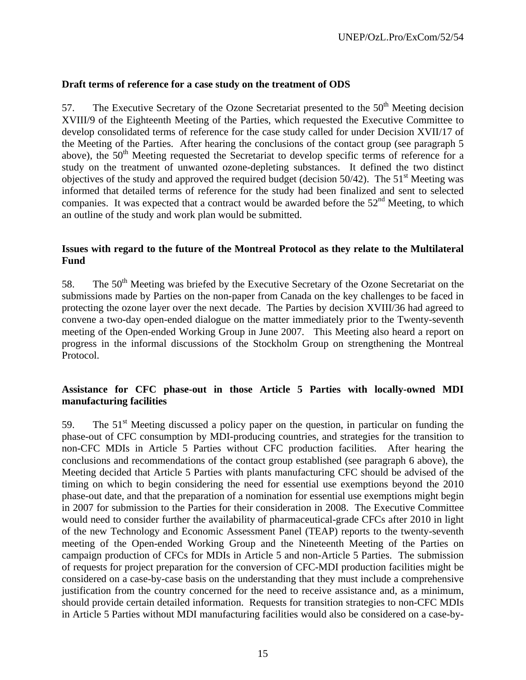#### **Draft terms of reference for a case study on the treatment of ODS**

57. The Executive Secretary of the Ozone Secretariat presented to the  $50<sup>th</sup>$  Meeting decision XVIII/9 of the Eighteenth Meeting of the Parties, which requested the Executive Committee to develop consolidated terms of reference for the case study called for under Decision XVII/17 of the Meeting of the Parties. After hearing the conclusions of the contact group (see paragraph 5 above), the  $50<sup>th</sup>$  Meeting requested the Secretariat to develop specific terms of reference for a study on the treatment of unwanted ozone-depleting substances. It defined the two distinct objectives of the study and approved the required budget (decision  $50/42$ ). The  $51<sup>st</sup>$  Meeting was informed that detailed terms of reference for the study had been finalized and sent to selected companies. It was expected that a contract would be awarded before the  $52<sup>nd</sup>$  Meeting, to which an outline of the study and work plan would be submitted.

#### **Issues with regard to the future of the Montreal Protocol as they relate to the Multilateral Fund**

58. The 50<sup>th</sup> Meeting was briefed by the Executive Secretary of the Ozone Secretariat on the submissions made by Parties on the non-paper from Canada on the key challenges to be faced in protecting the ozone layer over the next decade. The Parties by decision XVIII/36 had agreed to convene a two-day open-ended dialogue on the matter immediately prior to the Twenty-seventh meeting of the Open-ended Working Group in June 2007. This Meeting also heard a report on progress in the informal discussions of the Stockholm Group on strengthening the Montreal Protocol.

# **Assistance for CFC phase-out in those Article 5 Parties with locally-owned MDI manufacturing facilities**

59. The  $51<sup>st</sup>$  Meeting discussed a policy paper on the question, in particular on funding the phase-out of CFC consumption by MDI-producing countries, and strategies for the transition to non-CFC MDIs in Article 5 Parties without CFC production facilities. After hearing the conclusions and recommendations of the contact group established (see paragraph 6 above), the Meeting decided that Article 5 Parties with plants manufacturing CFC should be advised of the timing on which to begin considering the need for essential use exemptions beyond the 2010 phase-out date, and that the preparation of a nomination for essential use exemptions might begin in 2007 for submission to the Parties for their consideration in 2008. The Executive Committee would need to consider further the availability of pharmaceutical-grade CFCs after 2010 in light of the new Technology and Economic Assessment Panel (TEAP) reports to the twenty-seventh meeting of the Open-ended Working Group and the Nineteenth Meeting of the Parties on campaign production of CFCs for MDIs in Article 5 and non-Article 5 Parties. The submission of requests for project preparation for the conversion of CFC-MDI production facilities might be considered on a case-by-case basis on the understanding that they must include a comprehensive justification from the country concerned for the need to receive assistance and, as a minimum, should provide certain detailed information. Requests for transition strategies to non-CFC MDIs in Article 5 Parties without MDI manufacturing facilities would also be considered on a case-by-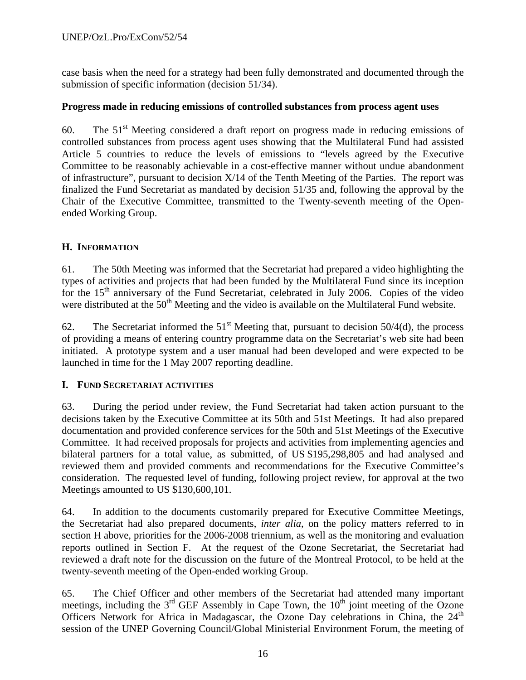## UNEP/OzL.Pro/ExCom/52/54

case basis when the need for a strategy had been fully demonstrated and documented through the submission of specific information (decision 51/34).

#### **Progress made in reducing emissions of controlled substances from process agent uses**

60. The  $51<sup>st</sup>$  Meeting considered a draft report on progress made in reducing emissions of controlled substances from process agent uses showing that the Multilateral Fund had assisted Article 5 countries to reduce the levels of emissions to "levels agreed by the Executive Committee to be reasonably achievable in a cost-effective manner without undue abandonment of infrastructure", pursuant to decision  $X/14$  of the Tenth Meeting of the Parties. The report was finalized the Fund Secretariat as mandated by decision 51/35 and, following the approval by the Chair of the Executive Committee, transmitted to the Twenty-seventh meeting of the Openended Working Group.

#### **H. INFORMATION**

61. The 50th Meeting was informed that the Secretariat had prepared a video highlighting the types of activities and projects that had been funded by the Multilateral Fund since its inception for the  $15<sup>th</sup>$  anniversary of the Fund Secretariat, celebrated in July 2006. Copies of the video were distributed at the 50<sup>th</sup> Meeting and the video is available on the Multilateral Fund website.

62. The Secretariat informed the  $51<sup>st</sup>$  Meeting that, pursuant to decision 50/4(d), the process of providing a means of entering country programme data on the Secretariat's web site had been initiated. A prototype system and a user manual had been developed and were expected to be launched in time for the 1 May 2007 reporting deadline.

#### **I. FUND SECRETARIAT ACTIVITIES**

63. During the period under review, the Fund Secretariat had taken action pursuant to the decisions taken by the Executive Committee at its 50th and 51st Meetings. It had also prepared documentation and provided conference services for the 50th and 51st Meetings of the Executive Committee. It had received proposals for projects and activities from implementing agencies and bilateral partners for a total value, as submitted, of US \$195,298,805 and had analysed and reviewed them and provided comments and recommendations for the Executive Committee's consideration. The requested level of funding, following project review, for approval at the two Meetings amounted to US \$130,600,101.

64. In addition to the documents customarily prepared for Executive Committee Meetings, the Secretariat had also prepared documents, *inter alia*, on the policy matters referred to in section H above, priorities for the 2006-2008 triennium, as well as the monitoring and evaluation reports outlined in Section F. At the request of the Ozone Secretariat, the Secretariat had reviewed a draft note for the discussion on the future of the Montreal Protocol, to be held at the twenty-seventh meeting of the Open-ended working Group.

65. The Chief Officer and other members of the Secretariat had attended many important meetings, including the  $3<sup>rd</sup>$  GEF Assembly in Cape Town, the  $10<sup>th</sup>$  joint meeting of the Ozone Officers Network for Africa in Madagascar, the Ozone Day celebrations in China, the  $24<sup>th</sup>$ session of the UNEP Governing Council/Global Ministerial Environment Forum, the meeting of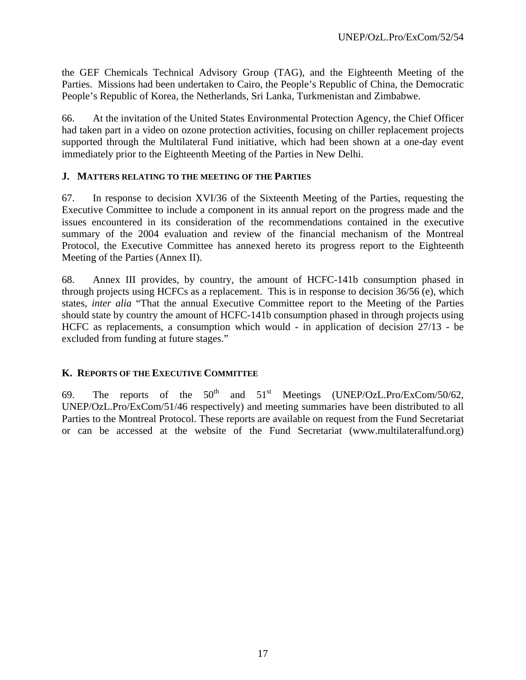the GEF Chemicals Technical Advisory Group (TAG), and the Eighteenth Meeting of the Parties. Missions had been undertaken to Cairo, the People's Republic of China, the Democratic People's Republic of Korea, the Netherlands, Sri Lanka, Turkmenistan and Zimbabwe.

66. At the invitation of the United States Environmental Protection Agency, the Chief Officer had taken part in a video on ozone protection activities, focusing on chiller replacement projects supported through the Multilateral Fund initiative, which had been shown at a one-day event immediately prior to the Eighteenth Meeting of the Parties in New Delhi.

#### **J. MATTERS RELATING TO THE MEETING OF THE PARTIES**

67. In response to decision XVI/36 of the Sixteenth Meeting of the Parties, requesting the Executive Committee to include a component in its annual report on the progress made and the issues encountered in its consideration of the recommendations contained in the executive summary of the 2004 evaluation and review of the financial mechanism of the Montreal Protocol, the Executive Committee has annexed hereto its progress report to the Eighteenth Meeting of the Parties (Annex II).

68. Annex III provides, by country, the amount of HCFC-141b consumption phased in through projects using HCFCs as a replacement. This is in response to decision 36/56 (e), which states, *inter alia* "That the annual Executive Committee report to the Meeting of the Parties should state by country the amount of HCFC-141b consumption phased in through projects using HCFC as replacements, a consumption which would - in application of decision 27/13 - be excluded from funding at future stages."

# **K. REPORTS OF THE EXECUTIVE COMMITTEE**

69. The reports of the  $50^{th}$  and  $51^{st}$  Meetings (UNEP/OzL.Pro/ExCom/50/62, UNEP/OzL.Pro/ExCom/51/46 respectively) and meeting summaries have been distributed to all Parties to the Montreal Protocol. These reports are available on request from the Fund Secretariat or can be accessed at the website of the Fund Secretariat (www.multilateralfund.org)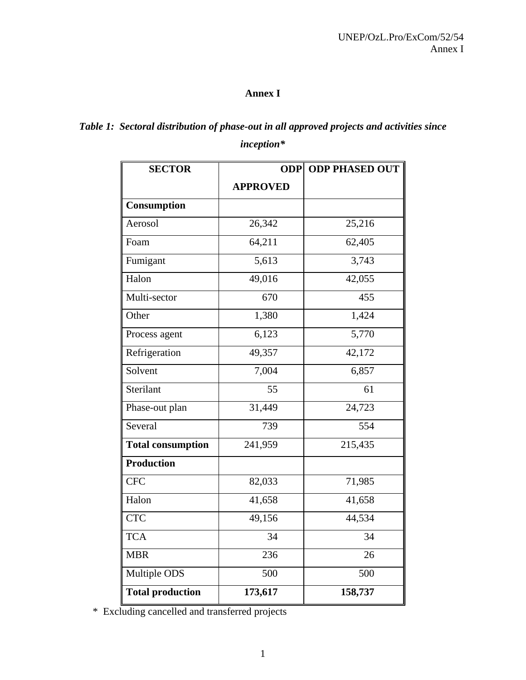# **Annex I**

# *Table 1: Sectoral distribution of phase-out in all approved projects and activities since inception\**

| <b>SECTOR</b>            | <b>ODP PHASED OUT</b><br><b>ODP</b> |         |
|--------------------------|-------------------------------------|---------|
|                          | <b>APPROVED</b>                     |         |
| Consumption              |                                     |         |
| Aerosol                  | 26,342                              | 25,216  |
| Foam                     | 64,211                              | 62,405  |
| Fumigant                 | 5,613                               | 3,743   |
| Halon                    | 49,016                              | 42,055  |
| Multi-sector             | 670                                 | 455     |
| Other                    | 1,380                               | 1,424   |
| Process agent            | 6,123                               | 5,770   |
| Refrigeration            | 49,357                              | 42,172  |
| Solvent                  | 7,004                               | 6,857   |
| Sterilant                | 55                                  | 61      |
| Phase-out plan           | 31,449                              | 24,723  |
| Several                  | 739                                 | 554     |
| <b>Total consumption</b> | 241,959                             | 215,435 |
| Production               |                                     |         |
| <b>CFC</b>               | 82,033                              | 71,985  |
| Halon                    | 41,658                              | 41,658  |
| <b>CTC</b>               | 49,156                              | 44,534  |
| <b>TCA</b>               | 34                                  | 34      |
| <b>MBR</b>               | 236                                 | 26      |
| Multiple ODS             | 500                                 | 500     |
| <b>Total production</b>  | 173,617                             | 158,737 |

\* Excluding cancelled and transferred projects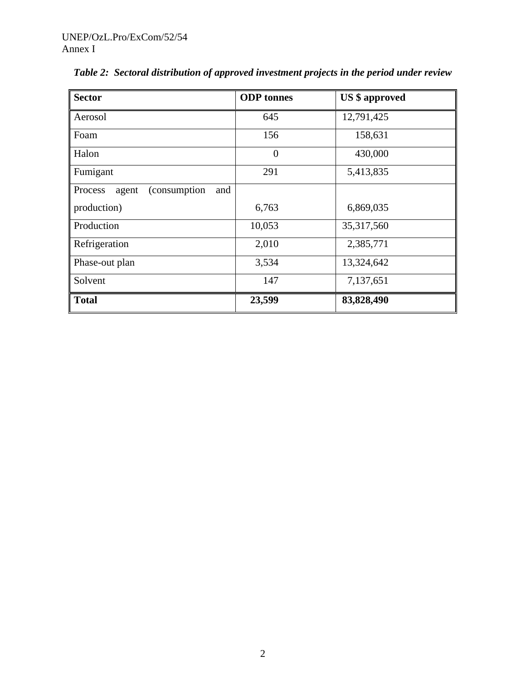| <b>Sector</b>                           | <b>ODP</b> tonnes | <b>US</b> \$ approved |
|-----------------------------------------|-------------------|-----------------------|
| Aerosol                                 | 645               | 12,791,425            |
| Foam                                    | 156               | 158,631               |
| Halon                                   | $\theta$          | 430,000               |
| Fumigant                                | 291               | 5,413,835             |
| (consumption<br>Process<br>agent<br>and |                   |                       |
| production)                             | 6,763             | 6,869,035             |
| Production                              | 10,053            | 35, 317, 560          |
| Refrigeration                           | 2,010             | 2,385,771             |
| Phase-out plan                          | 3,534             | 13,324,642            |
| Solvent                                 | 147               | 7,137,651             |
| <b>Total</b>                            | 23,599            | 83,828,490            |

*Table 2: Sectoral distribution of approved investment projects in the period under review*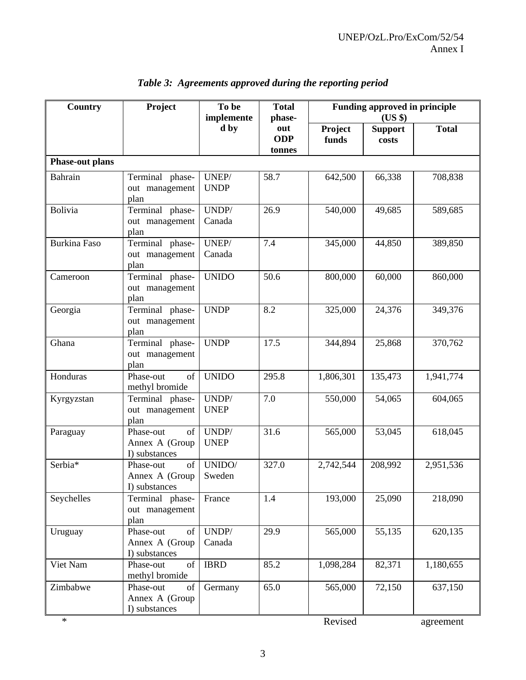| Country                | Project                                            | To be<br>implemente  | <b>Total</b><br>phase-      | <b>Funding approved in principle</b><br>(US \$) |                         |              |
|------------------------|----------------------------------------------------|----------------------|-----------------------------|-------------------------------------------------|-------------------------|--------------|
|                        |                                                    | d by                 | out<br><b>ODP</b><br>tonnes | Project<br>funds                                | <b>Support</b><br>costs | <b>Total</b> |
| <b>Phase-out plans</b> |                                                    |                      |                             |                                                 |                         |              |
| Bahrain                | Terminal phase-<br>out management<br>plan          | UNEP/<br><b>UNDP</b> | 58.7                        | 642,500                                         | 66,338                  | 708,838      |
| Bolivia                | Terminal phase-<br>out management<br>plan          | UNDP/<br>Canada      | 26.9                        | 540,000                                         | 49,685                  | 589,685      |
| <b>Burkina Faso</b>    | Terminal phase-<br>out management<br>plan          | UNEP/<br>Canada      | 7.4                         | 345,000                                         | 44,850                  | 389,850      |
| Cameroon               | Terminal phase-<br>out management<br>plan          | <b>UNIDO</b>         | 50.6                        | 800,000                                         | 60,000                  | 860,000      |
| Georgia                | Terminal phase-<br>out management<br>plan          | <b>UNDP</b>          | 8.2                         | 325,000                                         | 24,376                  | 349,376      |
| Ghana                  | Terminal phase-<br>out management<br>plan          | <b>UNDP</b>          | 17.5                        | 344,894                                         | 25,868                  | 370,762      |
| Honduras               | Phase-out<br>of<br>methyl bromide                  | <b>UNIDO</b>         | 295.8                       | 1,806,301                                       | 135,473                 | 1,941,774    |
| Kyrgyzstan             | Terminal phase-<br>out management<br>plan          | UNDP/<br><b>UNEP</b> | 7.0                         | 550,000                                         | 54,065                  | 604,065      |
| Paraguay               | of<br>Phase-out<br>Annex A (Group<br>I) substances | UNDP/<br><b>UNEP</b> | 31.6                        | 565,000                                         | 53,045                  | 618,045      |
| Serbia*                | of<br>Phase-out<br>Annex A (Group<br>I) substances | UNIDO/<br>Sweden     | 327.0                       | 2,742,544                                       | 208,992                 | 2,951,536    |
| Seychelles             | Terminal phase-<br>out management<br>plan          | France               | 1.4                         | 193,000                                         | 25,090                  | 218,090      |
| Uruguay                | Phase-out<br>of<br>Annex A (Group<br>I) substances | UNDP/<br>Canada      | 29.9                        | 565,000                                         | 55,135                  | 620,135      |
| Viet Nam               | Phase-out<br>of<br>methyl bromide                  | <b>IBRD</b>          | 85.2                        | 1,098,284                                       | 82,371                  | 1,180,655    |
| Zimbabwe               | Phase-out<br>of<br>Annex A (Group<br>I) substances | Germany              | 65.0                        | 565,000                                         | 72,150                  | 637,150      |
| $\ast$                 |                                                    |                      |                             | Revised                                         |                         | agreement    |

# *Table 3: Agreements approved during the reporting period*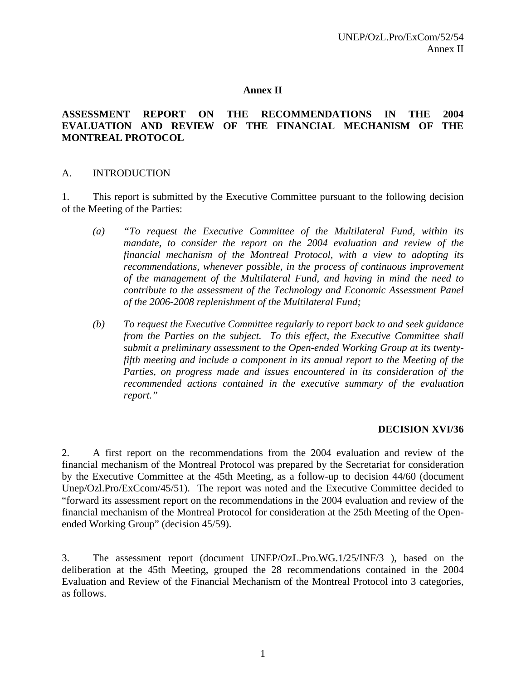#### **Annex II**

#### **ASSESSMENT REPORT ON THE RECOMMENDATIONS IN THE 2004 EVALUATION AND REVIEW OF THE FINANCIAL MECHANISM OF THE MONTREAL PROTOCOL**

#### A. INTRODUCTION

1. This report is submitted by the Executive Committee pursuant to the following decision of the Meeting of the Parties:

- *(a) "To request the Executive Committee of the Multilateral Fund, within its mandate, to consider the report on the 2004 evaluation and review of the financial mechanism of the Montreal Protocol, with a view to adopting its recommendations, whenever possible, in the process of continuous improvement of the management of the Multilateral Fund, and having in mind the need to contribute to the assessment of the Technology and Economic Assessment Panel of the 2006-2008 replenishment of the Multilateral Fund;*
- *(b) To request the Executive Committee regularly to report back to and seek guidance from the Parties on the subject. To this effect, the Executive Committee shall submit a preliminary assessment to the Open-ended Working Group at its twentyfifth meeting and include a component in its annual report to the Meeting of the Parties, on progress made and issues encountered in its consideration of the recommended actions contained in the executive summary of the evaluation report."*

#### **DECISION XVI/36**

2. A first report on the recommendations from the 2004 evaluation and review of the financial mechanism of the Montreal Protocol was prepared by the Secretariat for consideration by the Executive Committee at the 45th Meeting, as a follow-up to decision 44/60 (document Unep/Ozl.Pro/ExCcom/45/51). The report was noted and the Executive Committee decided to "forward its assessment report on the recommendations in the 2004 evaluation and review of the financial mechanism of the Montreal Protocol for consideration at the 25th Meeting of the Openended Working Group" (decision 45/59).

3. The assessment report (document UNEP/OzL.Pro.WG.1/25/INF/3 ), based on the deliberation at the 45th Meeting, grouped the 28 recommendations contained in the 2004 Evaluation and Review of the Financial Mechanism of the Montreal Protocol into 3 categories, as follows.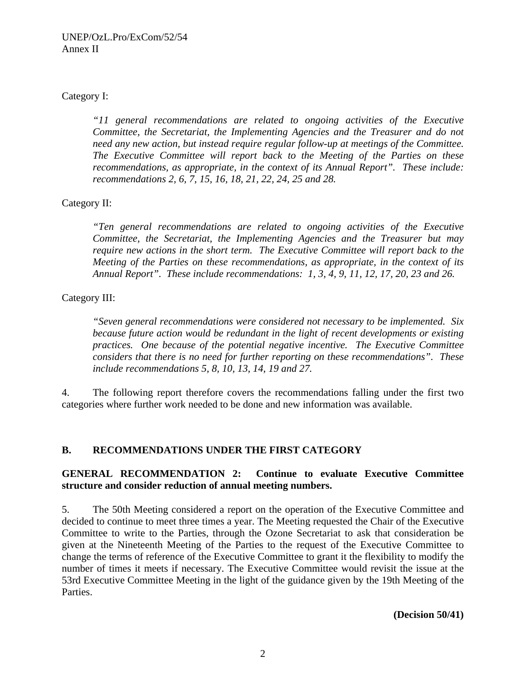# Category I:

*"11 general recommendations are related to ongoing activities of the Executive Committee, the Secretariat, the Implementing Agencies and the Treasurer and do not need any new action, but instead require regular follow-up at meetings of the Committee. The Executive Committee will report back to the Meeting of the Parties on these recommendations, as appropriate, in the context of its Annual Report". These include: recommendations 2, 6, 7, 15, 16, 18, 21, 22, 24, 25 and 28.* 

# Category II:

*"Ten general recommendations are related to ongoing activities of the Executive Committee, the Secretariat, the Implementing Agencies and the Treasurer but may require new actions in the short term. The Executive Committee will report back to the Meeting of the Parties on these recommendations, as appropriate, in the context of its Annual Report". These include recommendations: 1, 3, 4, 9, 11, 12, 17, 20, 23 and 26.* 

Category III:

*"Seven general recommendations were considered not necessary to be implemented. Six because future action would be redundant in the light of recent developments or existing practices. One because of the potential negative incentive. The Executive Committee considers that there is no need for further reporting on these recommendations". These include recommendations 5, 8, 10, 13, 14, 19 and 27.* 

4. The following report therefore covers the recommendations falling under the first two categories where further work needed to be done and new information was available.

# **B. RECOMMENDATIONS UNDER THE FIRST CATEGORY**

# **GENERAL RECOMMENDATION 2: Continue to evaluate Executive Committee structure and consider reduction of annual meeting numbers.**

5. The 50th Meeting considered a report on the operation of the Executive Committee and decided to continue to meet three times a year. The Meeting requested the Chair of the Executive Committee to write to the Parties, through the Ozone Secretariat to ask that consideration be given at the Nineteenth Meeting of the Parties to the request of the Executive Committee to change the terms of reference of the Executive Committee to grant it the flexibility to modify the number of times it meets if necessary. The Executive Committee would revisit the issue at the 53rd Executive Committee Meeting in the light of the guidance given by the 19th Meeting of the Parties.

**(Decision 50/41)**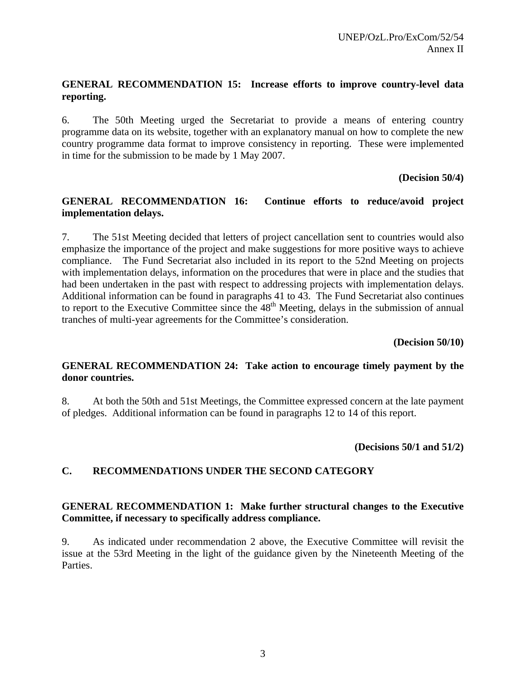# **GENERAL RECOMMENDATION 15: Increase efforts to improve country-level data reporting.**

6. The 50th Meeting urged the Secretariat to provide a means of entering country programme data on its website, together with an explanatory manual on how to complete the new country programme data format to improve consistency in reporting. These were implemented in time for the submission to be made by 1 May 2007.

### **(Decision 50/4)**

# **GENERAL RECOMMENDATION 16: Continue efforts to reduce/avoid project implementation delays.**

7. The 51st Meeting decided that letters of project cancellation sent to countries would also emphasize the importance of the project and make suggestions for more positive ways to achieve compliance. The Fund Secretariat also included in its report to the 52nd Meeting on projects with implementation delays, information on the procedures that were in place and the studies that had been undertaken in the past with respect to addressing projects with implementation delays. Additional information can be found in paragraphs 41 to 43. The Fund Secretariat also continues to report to the Executive Committee since the  $48<sup>th</sup>$  Meeting, delays in the submission of annual tranches of multi-year agreements for the Committee's consideration.

**(Decision 50/10)** 

# **GENERAL RECOMMENDATION 24: Take action to encourage timely payment by the donor countries.**

8. At both the 50th and 51st Meetings, the Committee expressed concern at the late payment of pledges. Additional information can be found in paragraphs 12 to 14 of this report.

**(Decisions 50/1 and 51/2)** 

# **C. RECOMMENDATIONS UNDER THE SECOND CATEGORY**

### **GENERAL RECOMMENDATION 1: Make further structural changes to the Executive Committee, if necessary to specifically address compliance.**

9. As indicated under recommendation 2 above, the Executive Committee will revisit the issue at the 53rd Meeting in the light of the guidance given by the Nineteenth Meeting of the Parties.